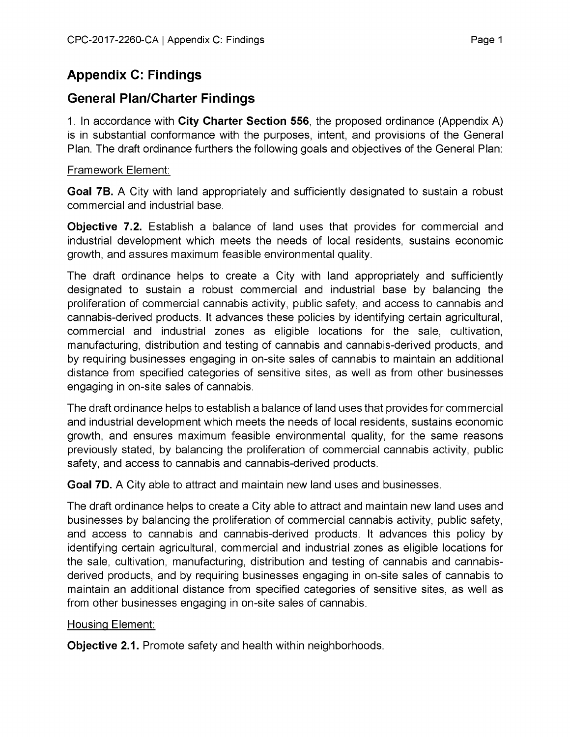# **Appendix C: Findings**

### **General Plan/Charter Findings**

1. In accordance with **City Charter Section 556,** the proposed ordinance (Appendix A) is in substantial conformance with the purposes, intent, and provisions of the General Plan. The draft ordinance furthers the following goals and objectives of the General Plan:

#### Framework Element:

**Goal 7B.** A City with land appropriately and sufficiently designated to sustain a robust commercial and industrial base.

**Objective 7.2.** Establish a balance of land uses that provides for commercial and industrial development which meets the needs of local residents, sustains economic growth, and assures maximum feasible environmental quality.

The draft ordinance helps to create a City with land appropriately and sufficiently designated to sustain a robust commercial and industrial base by balancing the proliferation of commercial cannabis activity, public safety, and access to cannabis and cannabis-derived products. It advances these policies by identifying certain agricultural, commercial and industrial zones as eligible locations for the sale, cultivation, manufacturing, distribution and testing of cannabis and cannabis-derived products, and by requiring businesses engaging in on-site sales of cannabis to maintain an additional distance from specified categories of sensitive sites, as well as from other businesses engaging in on-site sales of cannabis.

The draft ordinance helps to establish a balance of land uses that provides for commercial and industrial development which meets the needs of local residents, sustains economic growth, and ensures maximum feasible environmental quality, for the same reasons previously stated, by balancing the proliferation of commercial cannabis activity, public safety, and access to cannabis and cannabis-derived products.

**Goal 7D.** A City able to attract and maintain new land uses and businesses.

The draft ordinance helps to create a City able to attract and maintain new land uses and businesses by balancing the proliferation of commercial cannabis activity, public safety, and access to cannabis and cannabis-derived products. It advances this policy by identifying certain agricultural, commercial and industrial zones as eligible locations for the sale, cultivation, manufacturing, distribution and testing of cannabis and cannabisderived products, and by requiring businesses engaging in on-site sales of cannabis to maintain an additional distance from specified categories of sensitive sites, as well as from other businesses engaging in on-site sales of cannabis.

### Housing Element:

**Objective 2.1.** Promote safety and health within neighborhoods.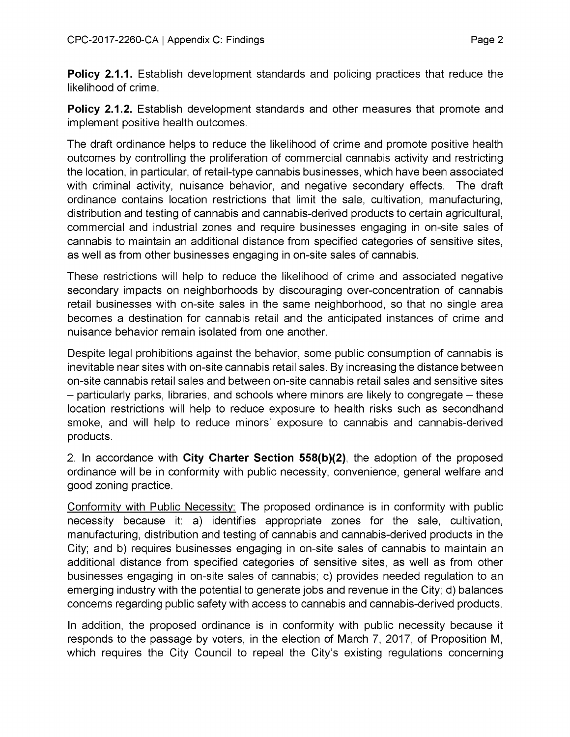**Policy 2.1.1.** Establish development standards and policing practices that reduce the likelihood of crime.

**Policy 2.1.2.** Establish development standards and other measures that promote and implement positive health outcomes.

The draft ordinance helps to reduce the likelihood of crime and promote positive health outcomes by controlling the proliferation of commercial cannabis activity and restricting the location, in particular, of retail-type cannabis businesses, which have been associated with criminal activity, nuisance behavior, and negative secondary effects. The draft ordinance contains location restrictions that limit the sale, cultivation, manufacturing, distribution and testing of cannabis and cannabis-derived products to certain agricultural, commercial and industrial zones and require businesses engaging in on-site sales of cannabis to maintain an additional distance from specified categories of sensitive sites, as well as from other businesses engaging in on-site sales of cannabis.

These restrictions will help to reduce the likelihood of crime and associated negative secondary impacts on neighborhoods by discouraging over-concentration of cannabis retail businesses with on-site sales in the same neighborhood, so that no single area becomes a destination for cannabis retail and the anticipated instances of crime and nuisance behavior remain isolated from one another.

Despite legal prohibitions against the behavior, some public consumption of cannabis is inevitable near sites with on-site cannabis retail sales. By increasing the distance between on-site cannabis retail sales and between on-site cannabis retail sales and sensitive sites - particularly parks, libraries, and schools where minors are likely to congregate - these location restrictions will help to reduce exposure to health risks such as secondhand smoke, and will help to reduce minors' exposure to cannabis and cannabis-derived products.

2. In accordance with **City Charter Section 558(b)(2),** the adoption of the proposed ordinance will be in conformity with public necessity, convenience, general welfare and good zoning practice.

Conformity with Public Necessity: The proposed ordinance is in conformity with public necessity because it: a) identifies appropriate zones for the sale, cultivation, manufacturing, distribution and testing of cannabis and cannabis-derived products in the City; and b) requires businesses engaging in on-site sales of cannabis to maintain an additional distance from specified categories of sensitive sites, as well as from other businesses engaging in on-site sales of cannabis; c) provides needed regulation to an emerging industry with the potential to generate jobs and revenue in the City; d) balances concerns regarding public safety with access to cannabis and cannabis-derived products.

In addition, the proposed ordinance is in conformity with public necessity because it responds to the passage by voters, in the election of March 7, 2017, of Proposition M, which requires the City Council to repeal the City's existing regulations concerning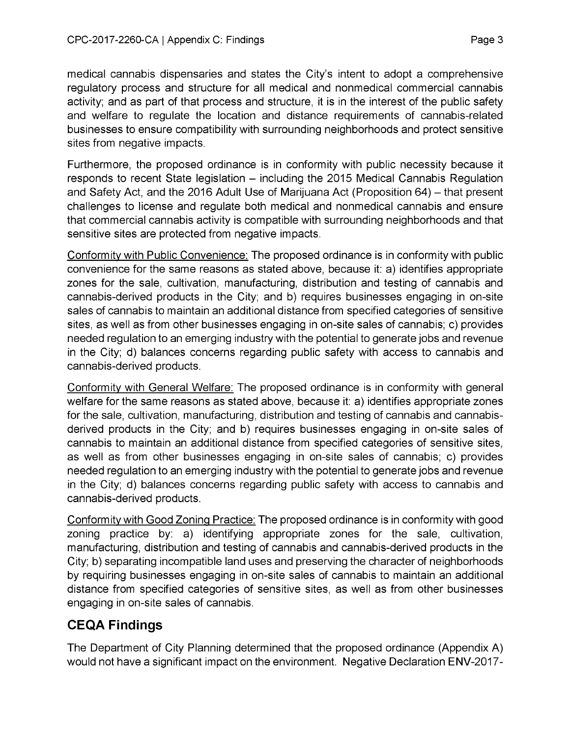medical cannabis dispensaries and states the City's intent to adopt a comprehensive regulatory process and structure for all medical and nonmedical commercial cannabis activity; and as part of that process and structure, it is in the interest of the public safety and welfare to regulate the location and distance requirements of cannabis-related businesses to ensure compatibility with surrounding neighborhoods and protect sensitive sites from negative impacts.

Furthermore, the proposed ordinance is in conformity with public necessity because it responds to recent State legislation  $-$  including the 2015 Medical Cannabis Regulation and Safety Act, and the 2016 Adult Use of Marijuana Act (Proposition 64) – that present challenges to license and regulate both medical and nonmedical cannabis and ensure that commercial cannabis activity is compatible with surrounding neighborhoods and that sensitive sites are protected from negative impacts.

Conformity with Public Convenience: The proposed ordinance is in conformity with public convenience for the same reasons as stated above, because it: a) identifies appropriate zones for the sale, cultivation, manufacturing, distribution and testing of cannabis and cannabis-derived products in the City; and b) requires businesses engaging in on-site sales of cannabis to maintain an additional distance from specified categories of sensitive sites, as well as from other businesses engaging in on-site sales of cannabis; c) provides needed regulation to an emerging industry with the potential to generate jobs and revenue in the City; d) balances concerns regarding public safety with access to cannabis and cannabis-derived products.

Conformity with General Welfare: The proposed ordinance is in conformity with general welfare for the same reasons as stated above, because it: a) identifies appropriate zones for the sale, cultivation, manufacturing, distribution and testing of cannabis and cannabisderived products in the City; and b) requires businesses engaging in on-site sales of cannabis to maintain an additional distance from specified categories of sensitive sites, as well as from other businesses engaging in on-site sales of cannabis; c) provides needed regulation to an emerging industry with the potential to generate jobs and revenue in the City; d) balances concerns regarding public safety with access to cannabis and cannabis-derived products.

Conformity with Good Zoning Practice: The proposed ordinance is in conformity with good zoning practice by: a) identifying appropriate zones for the sale, cultivation, manufacturing, distribution and testing of cannabis and cannabis-derived products in the City; b) separating incompatible land uses and preserving the character of neighborhoods by requiring businesses engaging in on-site sales of cannabis to maintain an additional distance from specified categories of sensitive sites, as well as from other businesses engaging in on-site sales of cannabis.

## **CEQA Findings**

The Department of City Planning determined that the proposed ordinance (Appendix A) would not have a significant impact on the environment. Negative Declaration ENV-2017